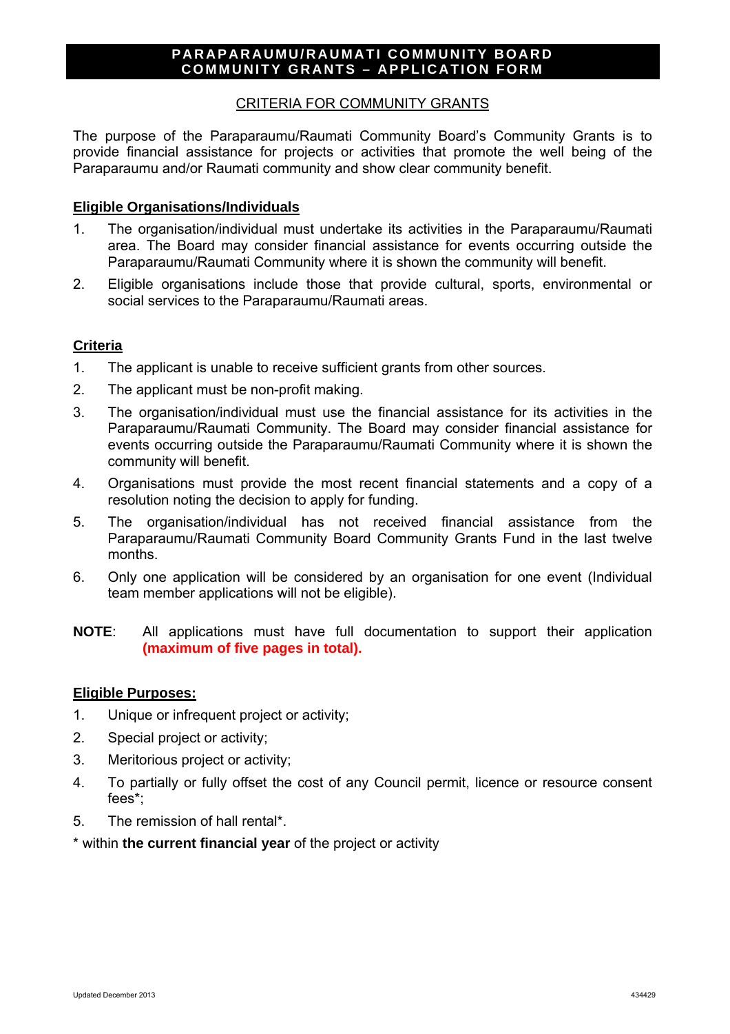## **PARAPARAUMU/RAUMATI COMMUNITY BOARD COMMUNITY GRANTS – APPLICATION FORM**

# CRITERIA FOR COMMUNITY GRANTS

The purpose of the Paraparaumu/Raumati Community Board's Community Grants is to provide financial assistance for projects or activities that promote the well being of the Paraparaumu and/or Raumati community and show clear community benefit.

## **Eligible Organisations/Individuals**

- 1. The organisation/individual must undertake its activities in the Paraparaumu/Raumati area. The Board may consider financial assistance for events occurring outside the Paraparaumu/Raumati Community where it is shown the community will benefit.
- 2. Eligible organisations include those that provide cultural, sports, environmental or social services to the Paraparaumu/Raumati areas.

# **Criteria**

- 1. The applicant is unable to receive sufficient grants from other sources.
- 2. The applicant must be non-profit making.
- 3. The organisation/individual must use the financial assistance for its activities in the Paraparaumu/Raumati Community. The Board may consider financial assistance for events occurring outside the Paraparaumu/Raumati Community where it is shown the community will benefit.
- 4. Organisations must provide the most recent financial statements and a copy of a resolution noting the decision to apply for funding.
- 5. The organisation/individual has not received financial assistance from the Paraparaumu/Raumati Community Board Community Grants Fund in the last twelve months.
- 6. Only one application will be considered by an organisation for one event (Individual team member applications will not be eligible).
- **NOTE**: All applications must have full documentation to support their application **(maximum of five pages in total).**

### **Eligible Purposes:**

- 1. Unique or infrequent project or activity;
- 2. Special project or activity;
- 3. Meritorious project or activity;
- 4. To partially or fully offset the cost of any Council permit, licence or resource consent fees\*;
- 5. The remission of hall rental\*.
- \* within **the current financial year** of the project or activity